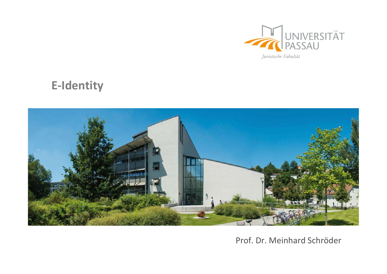

## E-Identity



## Prof. Dr. Meinhard Schröder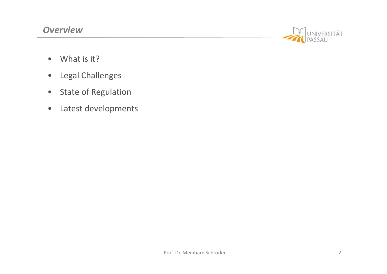

- 
- **Propertieurs**<br>• What is it?<br>• Legal Challenges<br>• State of Regulation
- **Produce Control**<br>• What is it?<br>• Legal Challenges<br>• State of Regulation<br>• Latest developments
- **Produce State of Regulation**<br>• State of Regulation<br>• Latest developments France What is it?<br>• Legal Challenges<br>• State of Regulation<br>• Latest developments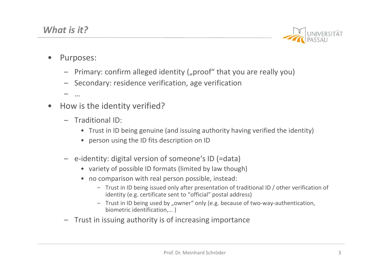

- What is it?<br>• Purposes:<br>• Purposes:
	- **t is it?**<br>
	UNIVERSITE<br>
	UNIVERSITE<br>
	 Primary: confirm alleged identity ("proof" that you are really you)<br>
	 Secondary: residence verification, age verification<br>
	 ...<br>
	Iow is the identity verified? (*ii* s *it?*<br>
	Universely and the secondary: residence verification, age verification<br>
	- Secondary: residence verification, age verification<br>
	- ...<br>
	Now is the identity verified? **12**<br>
	• Trust in ID being genuine (and issuing authority having verified)<br>
	• Trust in ID being genuine (and issuing authority having verified the identity)<br>
	• Trust in ID being genuine (and issuing authority having verifie **the IM:**<br>
	Finary: confirm alleged identity ("proof" that you<br>
	recondary: residence verification, age verification<br>
	is the identity verified?<br> **aditional ID:**<br>
	• Trust in ID being genuine (and issuing authority havi<br>
	• per |<br>|- Primary: confirm alleged identity ("proof" that you are really y<br>|- Secondary: residence verification, age verification<br>|- ...<br>|<br>|- ...<br>|<br>|- Traditional ID:<br>|- Traditional ID:<br>|- Traditional ID:<br>|- ...<br>| - ...<br>| ID be
	- Vhat is it?<br>• Purposes:<br>- Primary: confirm alleged identity ("proof<br>- Secondary: residence verification, age ve – … **Vhat is it?**<br>
	• Purposes:<br>
	– Primary: confirm alleged identity ("proof" that<br>
	– Secondary: residence verification, age verificat<br>
	– ...<br>
	• How is the identity verified?<br>
	– Traditional ID:<br>
	• Trust in ID being genuine (an **t is it?**<br>
	urposes:<br>
	- Primary: confirm alleged identity ("proof" tha<br>
	- Secondary: residence verification, age verific<br>
	- ...<br>
	low is the identity verified?<br>
	- Traditional ID:<br>
	• Trust in ID being genuine (and issuing au

- - -
		-
	- -
		-
- variancy: confirm alleged identity ("proof" that you are really you<br>
scondary: residence verification, age verification<br>
is the identity verified?<br>
aditional ID:<br>
 Trust in ID being genuine (and issuing authority having v • imary: confirm alleged identity ("proof" that you are really<br>
• condary: residence verification, age verification<br>
• Trust in ID being genuine (and issuing authority having verified<br>
• person using the ID fits descriptio y. commin aneged denitty ("phoon" that you are reany you)<br>ary: residence verification, age verification<br>onal ID:<br>sist in ID being genuine (and issuing authority having verified the identity)<br>rson using the ID fits descript identity (e.g. certificate sent to "official" postal address) e identity verified?<br>
Signal ID:<br>
Signal ID:<br>
Signal Interval is description on ID<br>
The interval interval is description on ID<br>
The interval of type interval is description on ID<br>
The interval of possible ID formats (limit Form of the interior of the increasing authority having verified the identity of the second increasing authority having verified the identity of person using the ID fits description on ID<br>
- e-identity: digital version of escription on ID<br>
In Someone's ID (=data)<br>
mats (limited by law though)<br>
person possible, instead:<br>
d only after presentation of traditional ID / other verification of<br>
e sent to "official" postal address)<br>
by "owner" only
	- biometric identification,… )
	-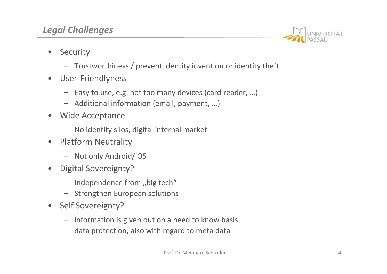## Legal Challenges



- 
- **egal Challenges**<br>• Security<br>- Trustworthiness / prevent identity inven<br>• User-Friendlyness **Challenges**<br>
ecurity<br>
— Trustworthiness / prevent identity invention or identity theft<br>
Jser-Friendlyness<br>
— Easy to use, e.g. not too many devices (card reader, ...) **egal Challenges**<br>
• Security<br>
– Trustworthiness / prevent identity inven<br>
• User-Friendlyness<br>
– Easy to use, e.g. not too many devices (c<br>
– Additional information (email, payment, Figure 2.1 Challenges<br>
- Trustworthiness / prevent identity invention or identity theft<br>
Jser-Friendlyness<br>
- Easy to use, e.g. not too many devices (card reader, ...)<br>
- Additional information (email, payment, ...)<br>
Vide – **Challenges**<br>
– Trustworthiness / prevent identity invention or identity<br>
Jser-Friendlyness<br>
– Easy to use, e.g. not too many devices (card reader, …)<br>
– Additional information (email, payment, …)<br>
Vide Acceptance<br>
– No **egal Challenges**<br>
• Security<br>
– Trustworthiness / prevent identity inven<br>
• User-Friendlyness<br>
– Easy to use, e.g. not too many devices (c<br>
– Additional information (email, payment,<br>
• Wide Acceptance<br>
– No identity silos 1 **Challenges**<br>
ecurity<br>
— Trustworthiness / prevent identity invention or identity<br>
Seer-Friendlyness<br>
— Easy to use, e.g. not too many devices (card reader, ...<br>
— Additional information (email, payment, ...)<br>
Vide Accep **•** Security<br>
• Trustworthiness / prevent identity inven<br>
• User-Friendlyness<br>
– Easy to use, e.g. not too many devices (c<br>
– Additional information (email, payment,<br>
• Wide Acceptance<br>
– No identity silos, digital interna ecurity<br>
— Trustworthiness / prevent identity invention<br>
Jser-Friendlyness<br>
— Easy to use, e.g. not too many devices (card r<br>
— Additional information (email, payment, ...)<br>
Vide Acceptance<br>
— No identity silos, digital in - Trustworthiness / prevent identity inven<br>
• User-Friendlyness<br>
- Easy to use, e.g. not too many devices (c<br>
- Additional information (email, payment,<br>
• Wide Acceptance<br>
- No identity silos, digital internal market<br>
• Pl
- - Easy to use, e.g. not too many devices (card rea<br>
	 Additional information (email, payment, ...)<br>
	Vide Acceptance<br>
	 No identity silos, digital internal market<br>
	latform Neutrality<br>
	 Not only Android/iOS<br>
	Digital Soverei
- Iser-Friendlyness<br>
 Easy to use, e.g. not too many devices (card  $-$  Additional information (email, payment, ...)<br>
Vide Acceptance<br>
 No identity silos, digital internal market<br>
latform Neutrality<br>
 Not only Android/iO - Easy to use, e.g. not too many devices (c<br>
- Additional information (email, payment,<br>
• Wide Acceptance<br>
- No identity silos, digital internal market<br>
• Platform Neutrality<br>
- Not only Android/iOS<br>
• Digital Sovereignty?
- -
- -
- -
	-
- 
- Vide Acceptance<br>
 No identity silos, digital internal market<br>
latform Neutrality<br>
 Not only Android/iOS<br>
igital Sovereignty?<br>
 Independence from "big tech"<br>
 Strengthen European solutions<br>
elf Sovereignty?<br>
 informati - No identity silos, digital internal market<br>
latform Neutrality<br>
- Not only Android/iOS<br>
igital Sovereignty?<br>
- Independence from "big tech"<br>
- Strengthen European solutions<br>
elf Sovereignty?<br>
- information is given out o Prof. Dr. Meinhard Schröder<br>Prof. Dr. Meinhard Schröder<br>4
	-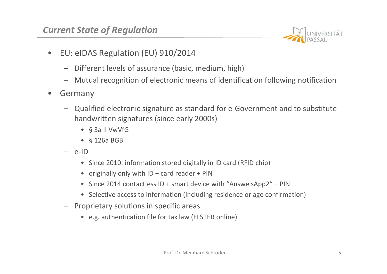

- **Current State of Regulation**<br>• EU: eIDAS Regulation (EU) 910/2014
	-
	- Current State of Regulation<br>
	 EU: eIDAS Regulation (EU) 910/2014<br>
	 Different levels of assurance (basic, medium, high)<br>
	 Mutual recognition of electronic means of identification f ent State of Regulation<br>
	U: elDAS Regulation (EU) 910/2014<br>
	— Different levels of assurance (basic, medium, high)<br>
	— Mutual recognition of electronic means of identification followi<br>
	Sermany
	-
	- **Example 12 Concerns and State of Regulation (EU) 910/2014**<br>
	 Different levels of assurance (basic, medium, high)<br>
	 Mutual recognition of electronic means of identification following notification<br>
	Fermany<br>
	 Qualified el **EU:** elDAS Regulation<br>
	• EU: elDAS Regulation (EU) 910/2014<br>
	• Different levels of assurance (basic, med<br>
	• Mutual recognition of electronic means<br>
	• Germany<br>
	– Qualified electronic signature as standar<br>
	handwritten sign **Example 12 Second CEO SECONDER EXERCT AND SERVIDED EXERCT AND PASSAU<br>
	CONSERVENTAT<br>
	CONSERVENTAT<br>
	- Oualified electronic signature as standard for e-Government and to substitute<br>
	handwritten signatures (since early 2000s)** handwritten signatures (since early 2000s) **Case of Regulation**<br>
	IDAS Regulation (EU) 910/2014<br>
	Ifferent levels of assurance (basic, medium, high)<br>
	Iutual recognition of electronic means of identific<br>
	any<br>
	ualified electronic signature as standard for e-Go<br>
	andwrit **Case of Regulation**<br>
	IDAS Regulation (EU) 910/2014<br>
	ifferent levels of assurance (basic, medium, high)<br>
	Iutual recognition of electronic means of identific<br>
	any<br>
	ualified electronic signature as standard for e-Go<br>
	andwrit U: eIDAS Regulation (EU) 910/2014<br>
	- Different levels of assurance (basic, medium,<br>
	- Mutual recognition of electronic means of id-<br>
	iermany<br>
	- Qualified electronic signature as standard for<br>
	handwritten signatures (since 1 IDAS Regulation (EU) 910/2014<br>
	• Fferent levels of assurance (basic, medium, high)<br>
	• utual recognition of electronic means of identification following notif<br>
	• any<br>
	• since is interest (since early 2000s)<br>
	• \$ 3 11 VwVf Frement levels of assurance (basic, medium, high)<br>
	utual recognition of electronic means of identification following nc<br>
	any<br>
	ualified electronic signature as standard for e-Government and to s<br>
	andwritten signatures (sinc Freich Revels of assalance (basic, mediatry, mani)<br>
	intual recognition of electronic means of identification following notification<br>
	any<br>
	ualified electronic signature as standard for e-Government and to substitute<br>
	indwr utual recognition or electronic means or identification following notification<br>any<br>ualified electronic signature as standard for e-Government and to substitute<br>andwritten signatures (since early 2000s)<br>• § 3a II VwVfG<br>• § iermany<br>
	– Qualified electronic signature as standard for e-Gover<br>
	handwritten signatures (since early 2000s)<br>
	• § 3 all VwVfG<br>
	• § 126a BGB<br>
	– e-ID<br>
	• Since 2010: information stored digitally in ID card (RFID<br>
	• originall ualified electronic signature as standard for e-Government and<br>
	undivritten signatures (since early 2000s)<br>
	• § 3a II VwVfG<br>
	• § 126a BGB<br>
	ID<br>
	• Since 2010: information stored digitally in ID card (RFID chip)<br>
	• originally
		-
		-
		- -
			-
			-
- ttored digitally in ID card (RFID chip)<br>
ard reader + PIN<br>
+ smart device with "AusweisApp2" + PIN<br>
nation (including residence or age confirmation)<br>
ecific areas<br>
r tax law (ELSTER online)<br>
Prof. Dr. Meinhard Schröder<br>
5
	- -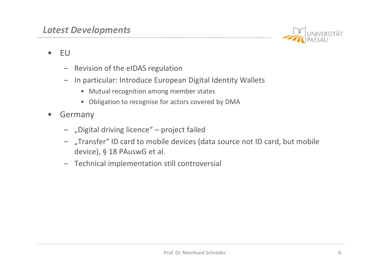

- -
- **atest Developments**<br>
 EU<br>
 Revision of the eIDAS regulation<br>
 In particular: Introduce European Digital **Example 15 Follow Schedule 12 Follow Schedule 12 Follow Schedule 12 Follow Schedule 12 Follow Schedule 12 Follow Schedule 12 Follow Schedule 12 Follow Schedule 12 Follow Schedule 12 Follow Schedule 12 Follow Schedule 12 F Example 15 The Community of the election**<br>
- Revision of the elDAS regulation<br>
- In particular: Introduce European Digital Identity Wallets<br>
- Mutual recognition among member states<br>
- Obligation to recognise for actors c Find The Mutual recognition<br>Find recognition<br>Find recognition among member states<br>Find the Mutual recognition among member states<br>Find the Mutual recognise for actors covered by DMA<br>The Mutual recognise for actors covered **Example 19 Observe for actors covered by DMA**<br>
• Mutual recognition among member states<br>
• Mutual recognition among member states<br>
• Obligation to recognise for actors covered by DMA<br> **any**<br>
Digital driving licence" – pro
	-
	-
- -
- **atest Developments**<br>
 EU<br>
 Revision of the eIDAS regulation<br>
 In particular: Introduce European Digital<br>
 Mutual recognition among member state<br>
 Obligation to recognise for actors covere<br>
 Germany<br>
 "Digital drivi **Example 15 The Control of the ellocate of the ellocate factor of the ellocate factor<br>
- "Properties" – Project failed<br>
- "Proteince" – project failed<br>
- "Digital driving licence" – project failed<br>
- "Transfer" ID card to** (a) Developments<br>
U<br>
- Revision of the eIDAS regulation<br>
- In particular: Introduce European Digital Identity Wallets<br>
• Mutual recognition among member states<br>
• Obligation to recognise for actors covered by DMA<br>
Dermany<br> Revision of the eIDAS regulation<br>
In particular: Introduce European Digital Identity Wallets<br>
• Mutual recognition among member states<br>
• Obligation to recognise for actors covered by DMA<br>
many<br>
"Digital driving licence" – U<br>
— Revision of the eIDAS regulation<br>
— In particular: Introduce European Digital Identity Wall<br>
• Mutual recognition among member states<br>
• Obligation to recognise for actors covered by DMA<br>
Germany<br>
— "Digital driving l le devices (data source not ID card, but mobile<br>.<br>still controversial<br>Prof. Dr. Meinhard Schröder 6
	-